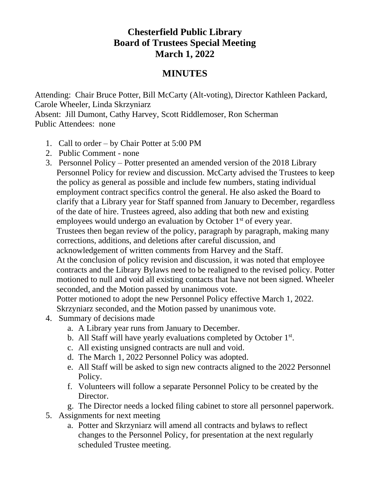## **Chesterfield Public Library Board of Trustees Special Meeting March 1, 2022**

## **MINUTES**

Attending: Chair Bruce Potter, Bill McCarty (Alt-voting), Director Kathleen Packard, Carole Wheeler, Linda Skrzyniarz Absent: Jill Dumont, Cathy Harvey, Scott Riddlemoser, Ron Scherman Public Attendees: none

- 1. Call to order by Chair Potter at 5:00 PM
- 2. Public Comment none
- 3. Personnel Policy Potter presented an amended version of the 2018 Library Personnel Policy for review and discussion. McCarty advised the Trustees to keep the policy as general as possible and include few numbers, stating individual employment contract specifics control the general. He also asked the Board to clarify that a Library year for Staff spanned from January to December, regardless of the date of hire. Trustees agreed, also adding that both new and existing employees would undergo an evaluation by October  $1<sup>st</sup>$  of every year. Trustees then began review of the policy, paragraph by paragraph, making many corrections, additions, and deletions after careful discussion, and acknowledgement of written comments from Harvey and the Staff. At the conclusion of policy revision and discussion, it was noted that employee contracts and the Library Bylaws need to be realigned to the revised policy. Potter motioned to null and void all existing contacts that have not been signed. Wheeler seconded, and the Motion passed by unanimous vote. Potter motioned to adopt the new Personnel Policy effective March 1, 2022.
	- Skrzyniarz seconded, and the Motion passed by unanimous vote.
- 4. Summary of decisions made
	- a. A Library year runs from January to December.
	- b. All Staff will have yearly evaluations completed by October  $1<sup>st</sup>$ .
	- c. All existing unsigned contracts are null and void.
	- d. The March 1, 2022 Personnel Policy was adopted.
	- e. All Staff will be asked to sign new contracts aligned to the 2022 Personnel Policy.
	- f. Volunteers will follow a separate Personnel Policy to be created by the Director.
	- g. The Director needs a locked filing cabinet to store all personnel paperwork.
- 5. Assignments for next meeting
	- a. Potter and Skrzyniarz will amend all contracts and bylaws to reflect changes to the Personnel Policy, for presentation at the next regularly scheduled Trustee meeting.